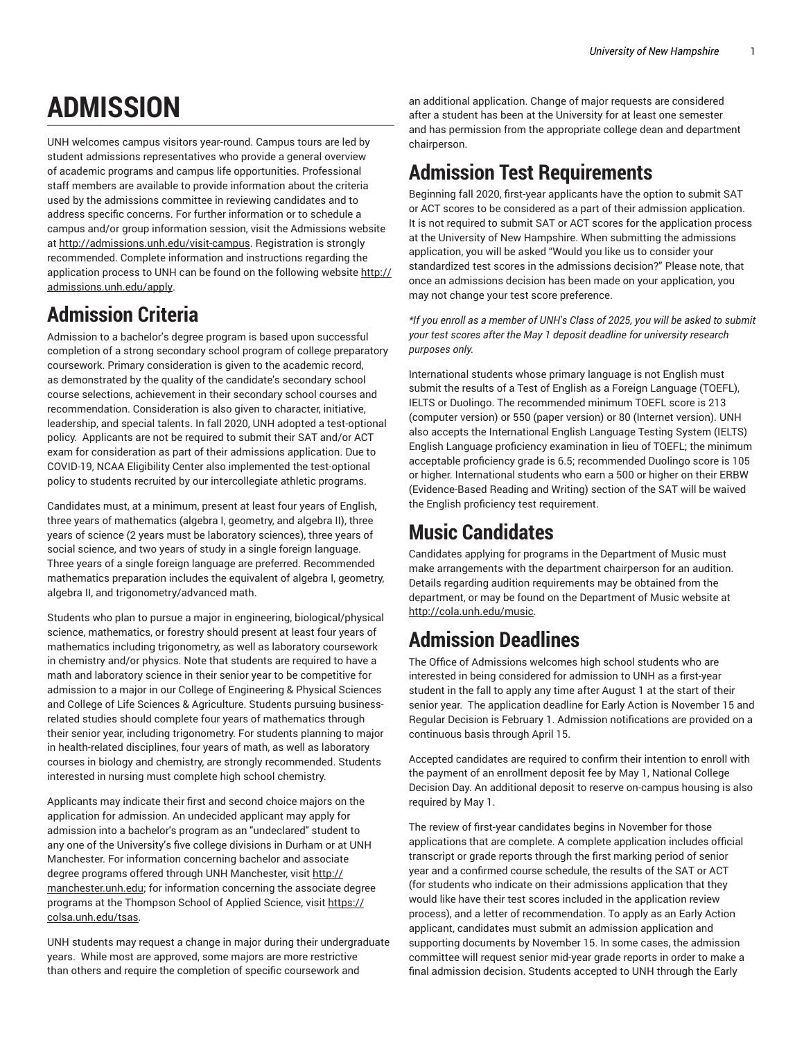# **ADMISSION**

UNH welcomes campus visitors year-round. Campus tours are led by student admissions representatives who provide a general overview of academic programs and campus life opportunities. Professional staff members are available to provide information about the criteria used by the admissions committee in reviewing candidates and to address specific concerns. For further information or to schedule a campus and/or group information session, visit the Admissions website at [http://admissions.unh.edu/visit-campus.](http://admissions.unh.edu/visit-campus/) Registration is strongly recommended. Complete information and instructions regarding the application process to UNH can be found on the following website [http://](http://admissions.unh.edu/apply/) [admissions.unh.edu/apply.](http://admissions.unh.edu/apply/)

# **Admission Criteria**

Admission to a bachelor's degree program is based upon successful completion of a strong secondary school program of college preparatory coursework. Primary consideration is given to the academic record, as demonstrated by the quality of the candidate's secondary school course selections, achievement in their secondary school courses and recommendation. Consideration is also given to character, initiative, leadership, and special talents. In fall 2020, UNH adopted a test-optional policy. Applicants are not be required to submit their SAT and/or ACT exam for consideration as part of their admissions application. Due to COVID-19, NCAA Eligibility Center also implemented the test-optional policy to students recruited by our intercollegiate athletic programs.

Candidates must, at a minimum, present at least four years of English, three years of mathematics (algebra I, geometry, and algebra II), three years of science (2 years must be laboratory sciences), three years of social science, and two years of study in a single foreign language. Three years of a single foreign language are preferred. Recommended mathematics preparation includes the equivalent of algebra I, geometry, algebra II, and trigonometry/advanced math.

Students who plan to pursue a major in engineering, biological/physical science, mathematics, or forestry should present at least four years of mathematics including trigonometry, as well as laboratory coursework in chemistry and/or physics. Note that students are required to have a math and laboratory science in their senior year to be competitive for admission to a major in our College of Engineering & Physical Sciences and College of Life Sciences & Agriculture. Students pursuing businessrelated studies should complete four years of mathematics through their senior year, including trigonometry. For students planning to major in health-related disciplines, four years of math, as well as laboratory courses in biology and chemistry, are strongly recommended. Students interested in nursing must complete high school chemistry.

Applicants may indicate their first and second choice majors on the application for admission. An undecided applicant may apply for admission into a bachelor's program as an "undeclared" student to any one of the University's five college divisions in Durham or at UNH Manchester. For information concerning bachelor and associate degree programs offered through UNH Manchester, visit [http://](http://manchester.unh.edu) [manchester.unh.edu](http://manchester.unh.edu); for information concerning the associate degree programs at the Thompson School of Applied Science, visit [https://](https://colsa.unh.edu/tsas/) [colsa.unh.edu/tsas](https://colsa.unh.edu/tsas/).

UNH students may request a change in major during their undergraduate years. While most are approved, some majors are more restrictive than others and require the completion of specific coursework and

an additional application. Change of major requests are considered after a student has been at the University for at least one semester and has permission from the appropriate college dean and department chairperson.

## **Admission Test Requirements**

Beginning fall 2020, first-year applicants have the option to submit SAT or ACT scores to be considered as a part of their admission application. It is not required to submit SAT or ACT scores for the application process at the University of New Hampshire. When submitting the admissions application, you will be asked "Would you like us to consider your standardized test scores in the admissions decision?" Please note, that once an admissions decision has been made on your application, you may not change your test score preference.

*\*If you enroll as a member of UNH's Class of 2025, you will be asked to submit your test scores after the May 1 deposit deadline for university research purposes only.*

International students whose primary language is not English must submit the results of a Test of English as a Foreign Language (TOEFL), IELTS or Duolingo. The recommended minimum TOEFL score is 213 (computer version) or 550 (paper version) or 80 (Internet version). UNH also accepts the International English Language Testing System (IELTS) English Language proficiency examination in lieu of TOEFL; the minimum acceptable proficiency grade is 6.5; recommended Duolingo score is 105 or higher. International students who earn a 500 or higher on their ERBW (Evidence-Based Reading and Writing) section of the SAT will be waived the English proficiency test requirement.

## **Music Candidates**

Candidates applying for programs in the Department of Music must make arrangements with the department chairperson for an audition. Details regarding audition requirements may be obtained from the department, or may be found on the Department of Music website at [http://cola.unh.edu/music](http://cola.unh.edu/music/).

# **Admission Deadlines**

The Office of Admissions welcomes high school students who are interested in being considered for admission to UNH as a first-year student in the fall to apply any time after August 1 at the start of their senior year. The application deadline for Early Action is November 15 and Regular Decision is February 1. Admission notifications are provided on a continuous basis through April 15.

Accepted candidates are required to confirm their intention to enroll with the payment of an enrollment deposit fee by May 1, National College Decision Day. An additional deposit to reserve on-campus housing is also required by May 1.

The review of first-year candidates begins in November for those applications that are complete. A complete application includes official transcript or grade reports through the first marking period of senior year and a confirmed course schedule, the results of the SAT or ACT (for students who indicate on their admissions application that they would like have their test scores included in the application review process), and a letter of recommendation. To apply as an Early Action applicant, candidates must submit an admission application and supporting documents by November 15. In some cases, the admission committee will request senior mid-year grade reports in order to make a final admission decision. Students accepted to UNH through the Early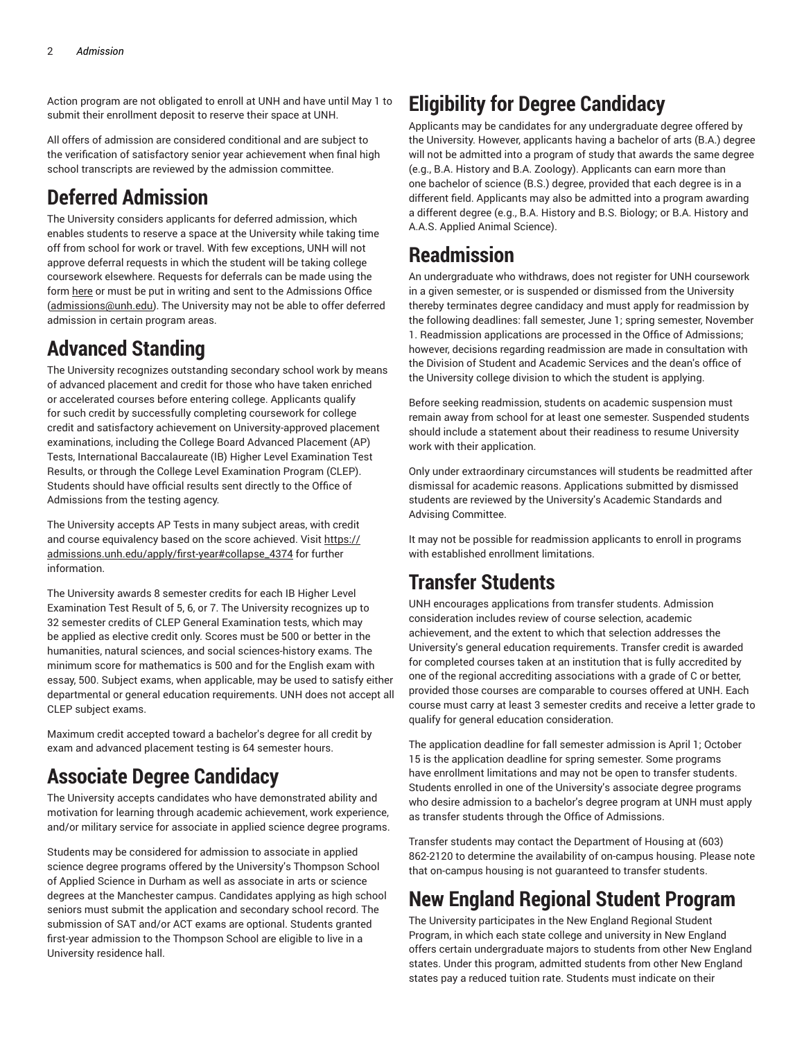Action program are not obligated to enroll at UNH and have until May 1 to submit their enrollment deposit to reserve their space at UNH.

All offers of admission are considered conditional and are subject to the verification of satisfactory senior year achievement when final high school transcripts are reviewed by the admission committee.

#### **Deferred Admission**

The University considers applicants for deferred admission, which enables students to reserve a space at the University while taking time off from school for work or travel. With few exceptions, UNH will not approve deferral requests in which the student will be taking college coursework elsewhere. Requests for deferrals can be made using the form [here](https://unh.tfaforms.net/218234/) or must be put in writing and sent to the Admissions Office ([admissions@unh.edu](mailto:admissions@unh.edu)). The University may not be able to offer deferred admission in certain program areas.

## **Advanced Standing**

The University recognizes outstanding secondary school work by means of advanced placement and credit for those who have taken enriched or accelerated courses before entering college. Applicants qualify for such credit by successfully completing coursework for college credit and satisfactory achievement on University-approved placement examinations, including the College Board Advanced Placement (AP) Tests, International Baccalaureate (IB) Higher Level Examination Test Results, or through the College Level Examination Program (CLEP). Students should have official results sent directly to the Office of Admissions from the testing agency.

The University accepts AP Tests in many subject areas, with credit and course equivalency based on the score achieved. Visit [https://](https://admissions.unh.edu/apply/first-year/#collapse_4374) [admissions.unh.edu/apply/first-year#collapse\\_4374](https://admissions.unh.edu/apply/first-year/#collapse_4374) for further information.

The University awards 8 semester credits for each IB Higher Level Examination Test Result of 5, 6, or 7. The University recognizes up to 32 semester credits of CLEP General Examination tests, which may be applied as elective credit only. Scores must be 500 or better in the humanities, natural sciences, and social sciences-history exams. The minimum score for mathematics is 500 and for the English exam with essay, 500. Subject exams, when applicable, may be used to satisfy either departmental or general education requirements. UNH does not accept all CLEP subject exams.

Maximum credit accepted toward a bachelor's degree for all credit by exam and advanced placement testing is 64 semester hours.

#### **Associate Degree Candidacy**

The University accepts candidates who have demonstrated ability and motivation for learning through academic achievement, work experience, and/or military service for associate in applied science degree programs.

Students may be considered for admission to associate in applied science degree programs offered by the University's Thompson School of Applied Science in Durham as well as associate in arts or science degrees at the Manchester campus. Candidates applying as high school seniors must submit the application and secondary school record. The submission of SAT and/or ACT exams are optional. Students granted first-year admission to the Thompson School are eligible to live in a University residence hall.

# **Eligibility for Degree Candidacy**

Applicants may be candidates for any undergraduate degree offered by the University. However, applicants having a bachelor of arts (B.A.) degree will not be admitted into a program of study that awards the same degree (e.g., B.A. History and B.A. Zoology). Applicants can earn more than one bachelor of science (B.S.) degree, provided that each degree is in a different field. Applicants may also be admitted into a program awarding a different degree (e.g., B.A. History and B.S. Biology; or B.A. History and A.A.S. Applied Animal Science).

#### **Readmission**

An undergraduate who withdraws, does not register for UNH coursework in a given semester, or is suspended or dismissed from the University thereby terminates degree candidacy and must apply for readmission by the following deadlines: fall semester, June 1; spring semester, November 1. Readmission applications are processed in the Office of Admissions; however, decisions regarding readmission are made in consultation with the Division of Student and Academic Services and the dean's office of the University college division to which the student is applying.

Before seeking readmission, students on academic suspension must remain away from school for at least one semester. Suspended students should include a statement about their readiness to resume University work with their application.

Only under extraordinary circumstances will students be readmitted after dismissal for academic reasons. Applications submitted by dismissed students are reviewed by the University's Academic Standards and Advising Committee.

It may not be possible for readmission applicants to enroll in programs with established enrollment limitations.

#### **Transfer Students**

UNH encourages applications from transfer students. Admission consideration includes review of course selection, academic achievement, and the extent to which that selection addresses the University's general education requirements. Transfer credit is awarded for completed courses taken at an institution that is fully accredited by one of the regional accrediting associations with a grade of C or better, provided those courses are comparable to courses offered at UNH. Each course must carry at least 3 semester credits and receive a letter grade to qualify for general education consideration.

The application deadline for fall semester admission is April 1; October 15 is the application deadline for spring semester. Some programs have enrollment limitations and may not be open to transfer students. Students enrolled in one of the University's associate degree programs who desire admission to a bachelor's degree program at UNH must apply as transfer students through the Office of Admissions.

Transfer students may contact the Department of Housing at (603) 862-2120 to determine the availability of on-campus housing. Please note that on-campus housing is not guaranteed to transfer students.

## **New England Regional Student Program**

The University participates in the New England Regional Student Program, in which each state college and university in New England offers certain undergraduate majors to students from other New England states. Under this program, admitted students from other New England states pay a reduced tuition rate. Students must indicate on their